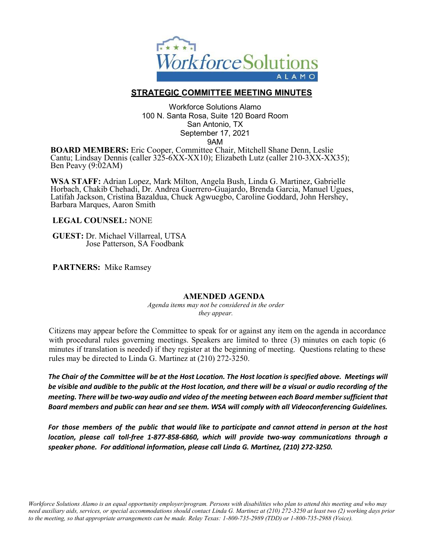

## **STRATEGIC COMMITTEE MEETING MINUTES**

Workforce Solutions Alamo 100 N. Santa Rosa, Suite 120 Board Room San Antonio, TX September 17, 2021 9AM

**BOARD MEMBERS:** Eric Cooper, Committee Chair, Mitchell Shane Denn, Leslie Cantu; Lindsay Dennis (caller 325-6XX-XX10); Elizabeth Lutz (caller 210-3XX-XX35); Ben Peavy (9:02AM)

**WSA STAFF:** Adrian Lopez, Mark Milton, Angela Bush, Linda G. Martinez, Gabrielle Horbach, Chakib Chehadi, Dr. Andrea Guerrero-Guajardo, Brenda Garcia, Manuel Ugues, Latifah Jackson, Cristina Bazaldua, Chuck Agwuegbo, Caroline Goddard, John Hershey, Barbara Marques, Aaron Smith

**LEGAL COUNSEL:** NONE

**GUEST:** Dr. Michael Villarreal, UTSAJose Patterson, SA Foodbank

**PARTNERS:** Mike Ramsey

### **AMENDED AGENDA**

*Agenda items may not be considered in the order they appear.*

Citizens may appear before the Committee to speak for or against any item on the agenda in accordance with procedural rules governing meetings. Speakers are limited to three (3) minutes on each topic (6 minutes if translation is needed) if they register at the beginning of meeting. Questions relating to these rules may be directed to Linda G. Martinez at (210) 272-3250.

*The Chair of the Committee will be at the Host Location. The Host location is specified above. Meetings will be visible and audible to the public at the Host location, and there will be a visual or audio recording of the meeting. There will be two-way audio and video of the meeting between each Board member sufficient that Board members and public can hear and see them. WSA will comply with all Videoconferencing Guidelines.*

*For those members of the public that would like to participate and cannot attend in person at the host location, please call toll-free 1-877-858-6860, which will provide two-way communications through a speaker phone. For additional information, please call Linda G. Martinez, (210) 272-3250.*

Workforce Solutions Alamo is an equal opportunity employer/program. Persons with disabilities who plan to attend this meeting and who may need auxiliary aids, services, or special accommodations should contact Linda G. Martinez at (210) 272-3250 at least two (2) working days prior *to the meeting, so that appropriate arrangements can be made. Relay Texas: 1-800-735-2989 (TDD) or 1-800-735-2988 (Voice).*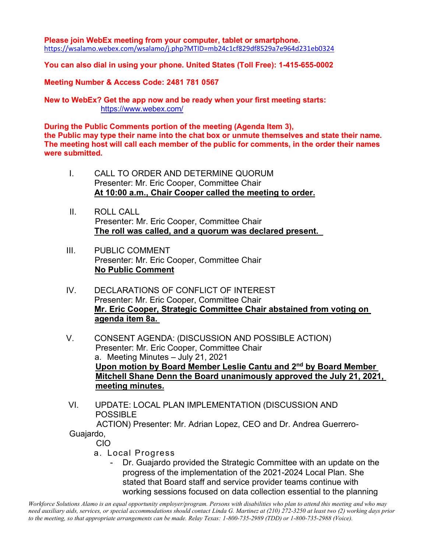### **Please join WebEx meeting from your computer, tablet or smartphone.** <https://wsalamo.webex.com/wsalamo/j.php?MTID=mb24c1cf829df8529a7e964d231eb0324>

## **You can also dial in using your phone. United States (Toll Free): 1-415-655-0002**

**Meeting Number & Access Code: 2481 781 0567**

**New to WebEx? Get the app now and be ready when your first meeting starts:** <https://www.webex.com/>

**During the Public Comments portion of the meeting (Agenda Item 3), the Public may type their name into the chat box or unmute themselves and state their name. The meeting host will call each member of the public for comments, in the order their names were submitted.**

- I. CALL TO ORDER AND DETERMINE QUORUM Presenter: Mr. Eric Cooper, Committee Chair **At 10:00 a.m., Chair Cooper called the meeting to order.**
- II. ROLL CALL Presenter: Mr. Eric Cooper, Committee Chair **The roll was called, and a quorum was declared present.**
- III. PUBLIC COMMENT Presenter: Mr. Eric Cooper, Committee Chair **No Public Comment**
- IV. DECLARATIONS OF CONFLICT OF INTEREST Presenter: Mr. Eric Cooper, Committee Chair **Mr. Eric Cooper, Strategic Committee Chair abstained from voting on agenda item 8a.**
- V. CONSENT AGENDA: (DISCUSSION AND POSSIBLE ACTION) Presenter: Mr. Eric Cooper, Committee Chair a. Meeting Minutes – July 21, 2021 **Upon motion by Board Member Leslie Cantu and 2nd by Board Member Mitchell Shane Denn the Board unanimously approved the July 21, 2021, meeting minutes.**
- VI. UPDATE: LOCAL PLAN IMPLEMENTATION (DISCUSSION AND **POSSIBLE**

 ACTION) Presenter: Mr. Adrian Lopez, CEO and Dr. Andrea Guerrero-Guajardo,

CIO

- a. Local Progress
	- Dr. Guajardo provided the Strategic Committee with an update on the progress of the implementation of the 2021-2024 Local Plan. She stated that Board staff and service provider teams continue with working sessions focused on data collection essential to the planning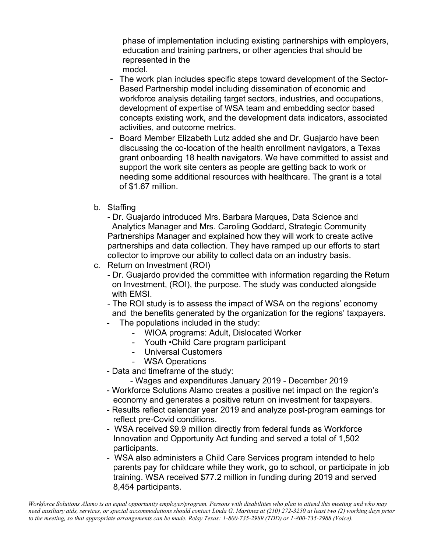phase of implementation including existing partnerships with employers, education and training partners, or other agencies that should be represented in the model.

- The work plan includes specific steps toward development of the Sector-Based Partnership model including dissemination of economic and workforce analysis detailing target sectors, industries, and occupations, development of expertise of WSA team and embedding sector based concepts existing work, and the development data indicators, associated activities, and outcome metrics.
- Board Member Elizabeth Lutz added she and Dr. Guajardo have been discussing the co-location of the health enrollment navigators, a Texas grant onboarding 18 health navigators. We have committed to assist and support the work site centers as people are getting back to work or needing some additional resources with healthcare. The grant is a total of \$1.67 million.
- b. Staffing

- Dr. Guajardo introduced Mrs. Barbara Marques, Data Science and Analytics Manager and Mrs. Caroling Goddard, Strategic Community Partnerships Manager and explained how they will work to create active partnerships and data collection. They have ramped up our efforts to start collector to improve our ability to collect data on an industry basis.

- c. Return on Investment (ROI)
	- Dr. Guajardo provided the committee with information regarding the Return on Investment, (ROI), the purpose. The study was conducted alongside with EMSI.

- The ROI study is to assess the impact of WSA on the regions' economy and the benefits generated by the organization for the regions' taxpayers.

- The populations included in the study:
	- WIOA programs: Adult, Dislocated Worker
	- Youth •Child Care program participant
	- Universal Customers
	- WSA Operations
- Data and timeframe of the study:

- Wages and expenditures January 2019 - December 2019

- Workforce Solutions Alamo creates a positive net impact on the region's economy and generates a positive return on investment for taxpayers.
- Results reflect calendar year 2019 and analyze post-program earnings tor reflect pre-Covid conditions.
- WSA received \$9.9 million directly from federal funds as Workforce Innovation and Opportunity Act funding and served a total of 1,502 participants.
- WSA also administers a Child Care Services program intended to help parents pay for childcare while they work, go to school, or participate in job training. WSA received \$77.2 million in funding during 2019 and served 8,454 participants.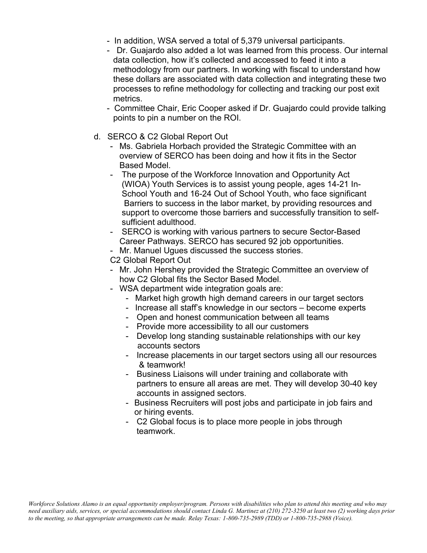- In addition, WSA served a total of 5,379 universal participants.
- Dr. Guajardo also added a lot was learned from this process. Our internal data collection, how it's collected and accessed to feed it into a methodology from our partners. In working with fiscal to understand how these dollars are associated with data collection and integrating these two processes to refine methodology for collecting and tracking our post exit metrics.
- Committee Chair, Eric Cooper asked if Dr. Guajardo could provide talking points to pin a number on the ROI.
- d. SERCO & C2 Global Report Out
	- Ms. Gabriela Horbach provided the Strategic Committee with an overview of SERCO has been doing and how it fits in the Sector Based Model.
	- The purpose of the Workforce Innovation and Opportunity Act (WIOA) Youth Services is to assist young people, ages 14-21 In- School Youth and 16-24 Out of School Youth, who face significant Barriers to success in the labor market, by providing resources and support to overcome those barriers and successfully transition to self sufficient adulthood.
	- SERCO is working with various partners to secure Sector-Based Career Pathways. SERCO has secured 92 job opportunities.
	- Mr. Manuel Ugues discussed the success stories.
	- C2 Global Report Out
	- Mr. John Hershey provided the Strategic Committee an overview of how C2 Global fits the Sector Based Model.
	- WSA department wide integration goals are:
		- Market high growth high demand careers in our target sectors
		- Increase all staff's knowledge in our sectors become experts
		- Open and honest communication between all teams
		- Provide more accessibility to all our customers
		- Develop long standing sustainable relationships with our key accounts sectors
		- Increase placements in our target sectors using all our resources & teamwork!
		- Business Liaisons will under training and collaborate with partners to ensure all areas are met. They will develop 30-40 key accounts in assigned sectors.
		- Business Recruiters will post jobs and participate in job fairs and or hiring events.
		- C2 Global focus is to place more people in jobs through teamwork.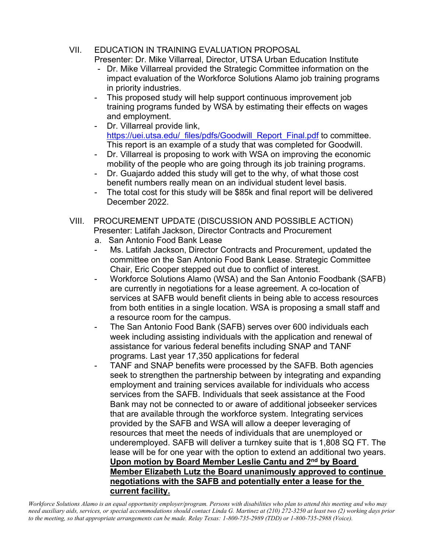- VII. EDUCATION IN TRAINING EVALUATION PROPOSAL Presenter: Dr. Mike Villarreal, Director, UTSA Urban Education Institute
	- Dr. Mike Villarreal provided the Strategic Committee information on the impact evaluation of the Workforce Solutions Alamo job training programs in priority industries.
	- This proposed study will help support continuous improvement job training programs funded by WSA by estimating their effects on wages and employment.
	- Dr. Villarreal provide link, [https://uei.utsa.edu/\\_files/pdfs/Goodwill\\_Report\\_Final.pdf](https://uei.utsa.edu/_files/pdfs/Goodwill_Report_Final.pdf) to committee. This report is an example of a study that was completed for Goodwill.
	- Dr. Villarreal is proposing to work with WSA on improving the economic mobility of the people who are going through its job training programs.
	- Dr. Guajardo added this study will get to the why, of what those cost benefit numbers really mean on an individual student level basis.
	- The total cost for this study will be \$85k and final report will be delivered December 2022.
- VIII. PROCUREMENT UPDATE (DISCUSSION AND POSSIBLE ACTION) Presenter: Latifah Jackson, Director Contracts and Procurement
	- a. San Antonio Food Bank Lease
	- Ms. Latifah Jackson, Director Contracts and Procurement, updated the committee on the San Antonio Food Bank Lease. Strategic Committee Chair, Eric Cooper stepped out due to conflict of interest.
	- Workforce Solutions Alamo (WSA) and the San Antonio Foodbank (SAFB) are currently in negotiations for a lease agreement. A co-location of services at SAFB would benefit clients in being able to access resources from both entities in a single location. WSA is proposing a small staff and a resource room for the campus.
	- The San Antonio Food Bank (SAFB) serves over 600 individuals each week including assisting individuals with the application and renewal of assistance for various federal benefits including SNAP and TANF programs. Last year 17,350 applications for federal
	- TANF and SNAP benefits were processed by the SAFB. Both agencies seek to strengthen the partnership between by integrating and expanding employment and training services available for individuals who access services from the SAFB. Individuals that seek assistance at the Food Bank may not be connected to or aware of additional jobseeker services that are available through the workforce system. Integrating services provided by the SAFB and WSA will allow a deeper leveraging of resources that meet the needs of individuals that are unemployed or underemployed. SAFB will deliver a turnkey suite that is 1,808 SQ FT. The lease will be for one year with the option to extend an additional two years. **Upon motion by Board Member Leslie Cantu and 2nd by Board Member Elizabeth Lutz the Board unanimously approved to continue negotiations with the SAFB and potentially enter a lease for the current facility.**

Workforce Solutions Alamo is an equal opportunity employer/program. Persons with disabilities who plan to attend this meeting and who may need auxiliary aids, services, or special accommodations should contact Linda G. Martinez at (210) 272-3250 at least two (2) working days prior *to the meeting, so that appropriate arrangements can be made. Relay Texas: 1-800-735-2989 (TDD) or 1-800-735-2988 (Voice).*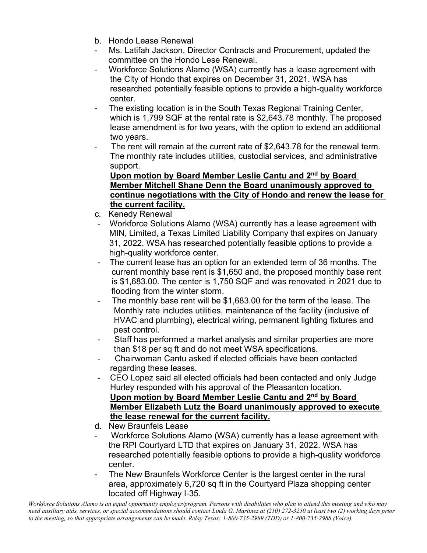- b. Hondo Lease Renewal
- Ms. Latifah Jackson, Director Contracts and Procurement, updated the committee on the Hondo Lese Renewal.
- Workforce Solutions Alamo (WSA) currently has a lease agreement with the City of Hondo that expires on December 31, 2021. WSA has researched potentially feasible options to provide a high-quality workforce center.
- The existing location is in the South Texas Regional Training Center, which is 1,799 SQF at the rental rate is \$2,643.78 monthly. The proposed lease amendment is for two years, with the option to extend an additional two years.
- The rent will remain at the current rate of \$2,643.78 for the renewal term. The monthly rate includes utilities, custodial services, and administrative support.

# **Upon motion by Board Member Leslie Cantu and 2nd by Board Member Mitchell Shane Denn the Board unanimously approved to continue negotiations with the City of Hondo and renew the lease for the current facility.**

- c. Kenedy Renewal
- Workforce Solutions Alamo (WSA) currently has a lease agreement with MIN, Limited, a Texas Limited Liability Company that expires on January 31, 2022. WSA has researched potentially feasible options to provide a high-quality workforce center.
- The current lease has an option for an extended term of 36 months. The current monthly base rent is \$1,650 and, the proposed monthly base rent is \$1,683.00. The center is 1,750 SQF and was renovated in 2021 due to flooding from the winter storm.
- The monthly base rent will be \$1,683.00 for the term of the lease. The Monthly rate includes utilities, maintenance of the facility (inclusive of HVAC and plumbing), electrical wiring, permanent lighting fixtures and pest control.
- Staff has performed a market analysis and similar properties are more than \$18 per sq ft and do not meet WSA specifications.
- Chairwoman Cantu asked if elected officials have been contacted regarding these leases.
- CEO Lopez said all elected officials had been contacted and only Judge Hurley responded with his approval of the Pleasanton location. **Upon motion by Board Member Leslie Cantu and 2nd by Board Member Elizabeth Lutz the Board unanimously approved to execute the lease renewal for the current facility.**
- d. New Braunfels Lease
- Workforce Solutions Alamo (WSA) currently has a lease agreement with the RPI Courtyard LTD that expires on January 31, 2022. WSA has researched potentially feasible options to provide a high-quality workforce center.
- The New Braunfels Workforce Center is the largest center in the rural area, approximately 6,720 sq ft in the Courtyard Plaza shopping center located off Highway I-35.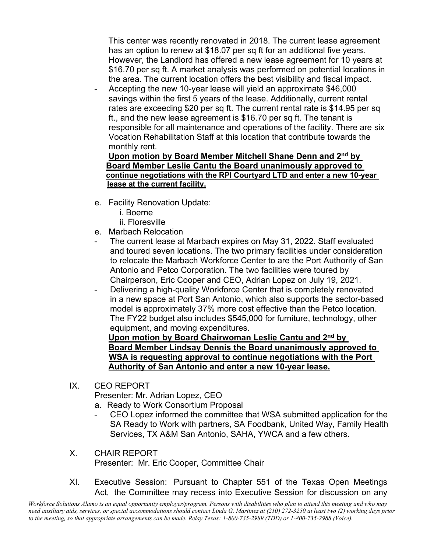This center was recently renovated in 2018. The current lease agreement has an option to renew at \$18.07 per sq ft for an additional five years. However, the Landlord has offered a new lease agreement for 10 years at \$16.70 per sq ft. A market analysis was performed on potential locations in the area. The current location offers the best visibility and fiscal impact.

Accepting the new 10-year lease will yield an approximate \$46,000 savings within the first 5 years of the lease. Additionally, current rental rates are exceeding \$20 per sq ft. The current rental rate is \$14.95 per sq ft., and the new lease agreement is \$16.70 per sq ft. The tenant is responsible for all maintenance and operations of the facility. There are six Vocation Rehabilitation Staff at this location that contribute towards the monthly rent.

## **Upon motion by Board Member Mitchell Shane Denn and 2nd by Board Member Leslie Cantu the Board unanimously approved to continue negotiations with the RPI Courtyard LTD and enter a new 10-year lease at the current facility.**

- e. Facility Renovation Update:
	- i. Boerne
	- ii. Floresville
- e. Marbach Relocation
- The current lease at Marbach expires on May 31, 2022. Staff evaluated and toured seven locations. The two primary facilities under consideration to relocate the Marbach Workforce Center to are the Port Authority of San Antonio and Petco Corporation. The two facilities were toured by Chairperson, Eric Cooper and CEO, Adrian Lopez on July 19, 2021.
- Delivering a high-quality Workforce Center that is completely renovated in a new space at Port San Antonio, which also supports the sector-based model is approximately 37% more cost effective than the Petco location. The FY22 budget also includes \$545,000 for furniture, technology, other equipment, and moving expenditures.

 **Upon motion by Board Chairwoman Leslie Cantu and 2nd by Board Member Lindsay Dennis the Board unanimously approved to WSA is requesting approval to continue negotiations with the Port Authority of San Antonio and enter a new 10-year lease.**

IX. CEO REPORT

Presenter: Mr. Adrian Lopez, CEO

- a. Ready to Work Consortium Proposal
- CEO Lopez informed the committee that WSA submitted application for the SA Ready to Work with partners, SA Foodbank, United Way, Family Health Services, TX A&M San Antonio, SAHA, YWCA and a few others.
- X. CHAIR REPORT Presenter: Mr. Eric Cooper, Committee Chair
- XI. Executive Session: Pursuant to Chapter 551 of the Texas Open Meetings Act, the Committee may recess into Executive Session for discussion on any